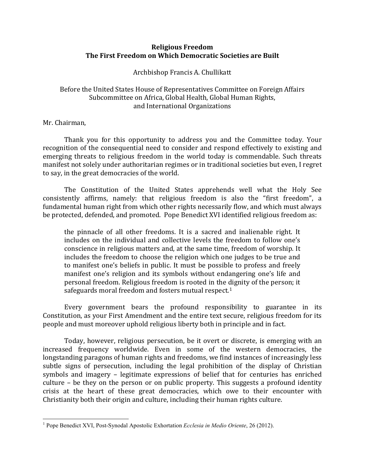## **Religious Freedom The First Freedom on Which Democratic Societies are Built**

Archbishop Francis A. Chullikatt

## Before the United States House of Representatives Committee on Foreign Affairs Subcommittee on Africa, Global Health, Global Human Rights, and International Organizations

## Mr. Chairman,

l

Thank you for this opportunity to address you and the Committee today. Your recognition of the consequential need to consider and respond effectively to existing and emerging threats to religious freedom in the world today is commendable. Such threats manifest not solely under authoritarian regimes or in traditional societies but even, I regret to say, in the great democracies of the world.

The Constitution of the United States apprehends well what the Holy See consistently affirms, namely: that religious freedom is also the "first freedom", a fundamental human right from which other rights necessarily flow, and which must always be protected, defended, and promoted. Pope Benedict XVI identified religious freedom as:

the pinnacle of all other freedoms. It is a sacred and inalienable right. It includes on the individual and collective levels the freedom to follow one's conscience in religious matters and, at the same time, freedom of worship. It includes the freedom to choose the religion which one judges to be true and to manifest one's beliefs in public. It must be possible to profess and freely manifest one's religion and its symbols without endangering one's life and personal freedom. Religious freedom is rooted in the [di](#page-0-0)gnity of the person; it safeguards moral freedom and fosters mutual respect.<sup>1</sup>

Every government bears the profound responsibility to guarantee in its Constitution, as your First Amendment and the entire text secure, religious freedom for its people and must moreover uphold religious liberty both in principle and in fact.

Today, however, religious persecution, be it overt or discrete, is emerging with an increased frequency worldwide. Even in some of the western democracies, the longstanding paragons of human rights and freedoms, we find instances of increasingly less subtle signs of persecution, including the legal prohibition of the display of Christian symbols and imagery – legitimate expressions of belief that for centuries has enriched culture – be they on the person or on public property. This suggests a profound identity crisis at the heart of these great democracies, which owe to their encounter with Christianity both their origin and culture, including their human rights culture.

<span id="page-0-0"></span><sup>1</sup> Pope Benedict XVI, Post-Synodal Apostolic Exhortation *Ecclesia in Medio Oriente*, 26 (2012).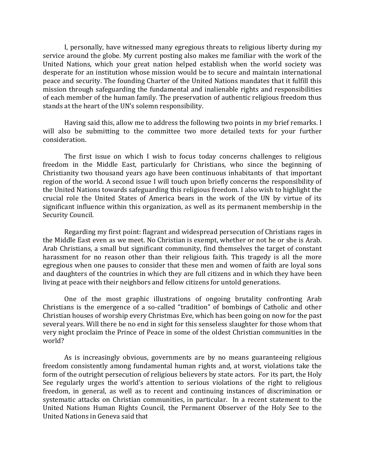I, personally, have witnessed many egregious threats to religious liberty during my service around the globe. My current posting also makes me familiar with the work of the United Nations, which your great nation helped establish when the world society was desperate for an institution whose mission would be to secure and maintain international peace and security. The founding Charter of the United Nations mandates that it fulfill this mission through safeguarding the fundamental and inalienable rights and responsibilities of each member of the human family. The preservation of authentic religious freedom thus stands at the heart of the UN's solemn responsibility.

Having said this, allow me to address the following two points in my brief remarks. I will also be submitting to the committee two more detailed texts for your further consideration.

The first issue on which I wish to focus today concerns challenges to religious freedom in the Middle East, particularly for Christians, who since the beginning of Christianity two thousand years ago have been continuous inhabitants of that important region of the world. A second issue I will touch upon briefly concerns the responsibility of the United Nations towards safeguarding this religious freedom. I also wish to highlight the crucial role the United States of America bears in the work of the UN by virtue of its significant influence within this organization, as well as its permanent membership in the Security Council.

Regarding my first point: flagrant and widespread persecution of Christians rages in the Middle East even as we meet. No Christian is exempt, whether or not he or she is Arab. Arab Christians, a small but significant community, find themselves the target of constant harassment for no reason other than their religious faith. This tragedy is all the more egregious when one pauses to consider that these men and women of faith are loyal sons and daughters of the countries in which they are full citizens and in which they have been living at peace with their neighbors and fellow citizens for untold generations.

One of the most graphic illustrations of ongoing brutality confronting Arab Christians is the emergence of a so-called "tradition" of bombings of Catholic and other Christian houses of worship every Christmas Eve, which has been going on now for the past several years. Will there be no end in sight for this senseless slaughter for those whom that very night proclaim the Prince of Peace in some of the oldest Christian communities in the world?

As is increasingly obvious, governments are by no means guaranteeing religious freedom consistently among fundamental human rights and, at worst, violations take the form of the outright persecution of religious believers by state actors. For its part, the Holy See regularly urges the world's attention to serious violations of the right to religious freedom, in general, as well as to recent and continuing instances of discrimination or systematic attacks on Christian communities, in particular. In a recent statement to the United Nations Human Rights Council, the Permanent Observer of the Holy See to the United Nations in Geneva said that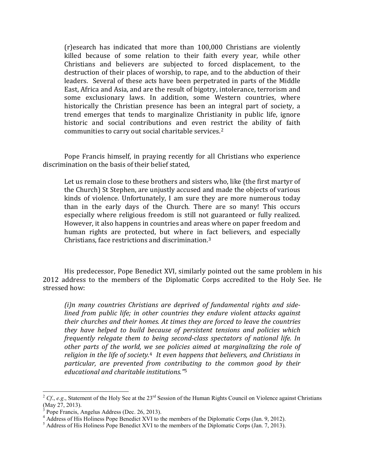(r)esearch has indicated that more than 100,000 Christians are violently killed because of some relation to their faith every year, while other Christians and believers are subjected to forced displacement, to the destruction of their places of worship, to rape, and to the abduction of their leaders. Several of these acts have been perpetrated in parts of the Middle East, Africa and Asia, and are the result of bigotry, intolerance, terrorism and some exclusionary laws. In addition, some Western countries, where historically the Christian presence has been an integral part of society, a trend emerges that tends to marginalize Christianity in public life, ignore historic and social contributions and even restrict the ability of faith communities to carry out social charitable services.[2](#page-2-0)

Pope Francis himself, in praying recently for all Christians who experience discrimination on the basis of their belief stated,

Let us remain close to these brothers and sisters who, like (the first martyr of the Church) St Stephen, are unjustly accused and made the objects of various kinds of violence. Unfortunately, I am sure they are more numerous today than in the early days of the Church. There are so many! This occurs especially where religious freedom is still not guaranteed or fully realized. However, it also happens in countries and areas where on paper freedom and human rights are protected, but where in fact believers, and especially Christians, face restrictions and discrimination.[3](#page-2-1)

His predecessor, Pope Benedict XVI, similarly pointed out the same problem in his 2012 address to the members of the Diplomatic Corps accredited to the Holy See. He stressed how:

*(i)n many countries Christians are deprived of fundamental rights and sidelined from public life; in other countries they endure violent attacks against their churches and their homes. At times they are forced to leave the countries they have helped to build because of persistent tensions and policies which frequently relegate them to being second-class spectators of national life. In other parts of the world, we see policies aimed at marginalizing the role of religion in the life of society.*[4](#page-2-2) *It even happens that believers, and Christians in particular, are prevented from contri[bu](#page-2-3)ting to the common good by their educational and charitable institutions."*<sup>5</sup>

ı

<span id="page-2-0"></span> $^{2}$  Cf., *e.g.*, Statement of the Holy See at the 23<sup>rd</sup> Session of the Human Rights Council on Violence against Christians (May 27, 2013).<br> $3$  Pope Francis. Angelus Address (Dec. 26, 2013).

<span id="page-2-1"></span>

<span id="page-2-3"></span><span id="page-2-2"></span><sup>&</sup>lt;sup>4</sup> Address of His Holiness Pope Benedict XVI to the members of the Diplomatic Corps (Jan. 9, 2012).<br><sup>5</sup> Address of His Holiness Pope Benedict XVI to the members of the Diplomatic Corps (Jan. 7, 2013).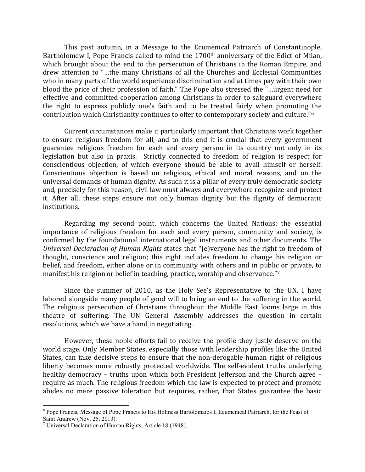This past autumn, in a Message to the Ecumenical Patriarch of Constantinople, Bartholomew I, Pope Francis called to mind the 1700<sup>th</sup> anniversary of the Edict of Milan, which brought about the end to the persecution of Christians in the Roman Empire*,* and drew attention to "…the many Christians of all the Churches and Ecclesial Communities who in many parts of the world experience discrimination and at times pay with their own blood the price of their profession of faith." The Pope also stressed the "…urgent need for effective and committed cooperation among Christians in order to safeguard everywhere the right to express publicly one's faith and to be treated fairly when promoting the contribution which Christianity continues to offer to contemporary society and culture."[6](#page-3-0) 

Current circumstances make it particularly important that Christians work together to ensure religious freedom for all, and to this end it is crucial that every government guarantee religious freedom for each and every person in its country not only in its legislation but also in praxis. Strictly connected to freedom of religion is respect for conscientious objection, of which everyone should be able to avail himself or herself. Conscientious objection is based on religious, ethical and moral reasons, and on the universal demands of human dignity. As such it is a pillar of every truly democratic society and, precisely for this reason, civil law must always and everywhere recognize and protect it. After all, these steps ensure not only human dignity but the dignity of democratic institutions.

Regarding my second point, which concerns the United Nations: the essential importance of religious freedom for each and every person, community and society, is confirmed by the foundational international legal instruments and other documents. The *Universal Declaration of Human Rights* states that "(e)veryone has the right to freedom of thought, conscience and religion; this right includes freedom to change his religion or belief, and freedom, either alone or in community with others and in public or private, to manifest his religion or belief in teaching, practice, worship and observance."[7](#page-3-1)

Since the summer of 2010, as the Holy See's Representative to the UN, I have labored alongside many people of good will to bring an end to the suffering in the world. The religious persecution of Christians throughout the Middle East looms large in this theatre of suffering. The UN General Assembly addresses the question in certain resolutions, which we have a hand in negotiating.

However, these noble efforts fail to receive the profile they justly deserve on the world stage. Only Member States, especially those with leadership profiles like the United States, can take decisive steps to ensure that the non-derogable human right of religious liberty becomes more robustly protected worldwide. The self-evident truths underlying healthy democracy – truths upon which both President Jefferson and the Church agree – require as much. The religious freedom which the law is expected to protect and promote abides no mere passive toleration but requires, rather, that States guarantee the basic

 $\overline{\phantom{0}}$ 

<span id="page-3-0"></span> $6$  Pope Francis, Message of Pope Francis to His Holiness Bartolomaios I, Ecumenical Patriarch, for the Feast of Saint Andrew (Nov. 25, 2013).

<span id="page-3-1"></span><sup>&</sup>lt;sup>7</sup> Universal Declaration of Human Rights, Article 18 (1948).